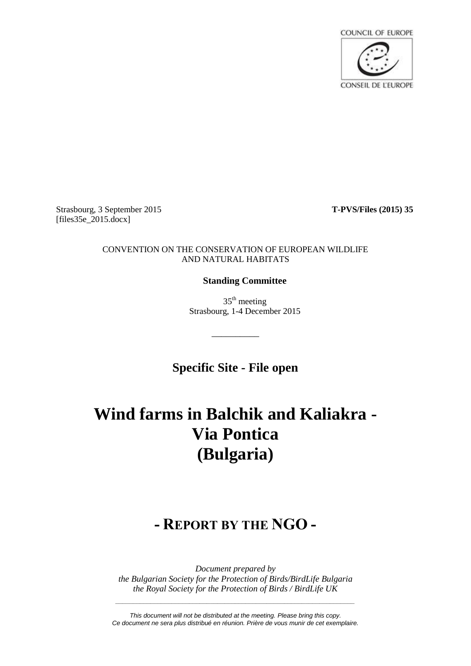

Strasbourg, 3 September 2015 **T-PVS/Files (2015) 35** [files35e\_2015.docx]

# CONVENTION ON THE CONSERVATION OF EUROPEAN WILDLIFE AND NATURAL HABITATS

# **Standing Committee**

 $35<sup>th</sup>$  meeting Strasbourg, 1-4 December 2015

**Specific Site - File open**

\_\_\_\_\_\_\_\_\_\_

# **Wind farms in Balchik and Kaliakra - Via Pontica (Bulgaria)**

# **- REPORT BY THE NGO -**

*Document prepared by the Bulgarian Society for the Protection of Birds/BirdLife Bulgaria the Royal Society for the Protection of Birds / BirdLife UK*

*This document will not be distributed at the meeting. Please bring this copy. Ce document ne sera plus distribué en réunion. Prière de vous munir de cet exemplaire.*

*\_\_\_\_\_\_\_\_\_\_\_\_\_\_\_\_\_\_\_\_\_\_\_\_\_\_\_\_\_\_\_\_\_\_\_\_\_\_\_\_\_\_\_\_\_\_\_\_\_\_\_\_\_\_\_\_\_\_\_\_\_\_\_\_\_\_\_\_*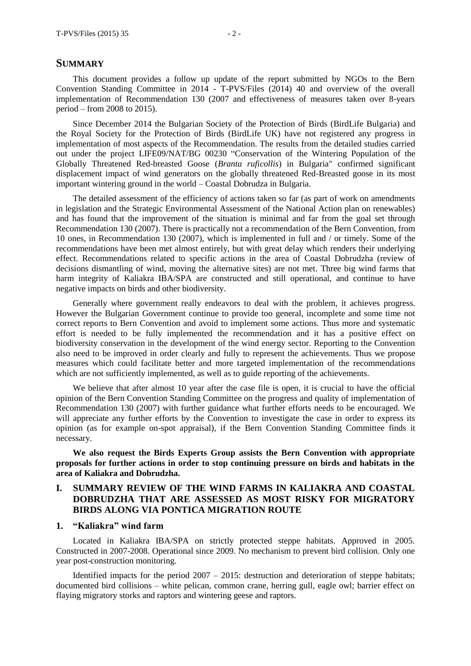#### **SUMMARY**

This document provides a follow up update of the report submitted by NGOs to the Bern Convention Standing Committee in 2014 - T-PVS/Files (2014) 40 and overview of the overall implementation of Recommendation 130 (2007 and effectiveness of measures taken over 8-years period – from 2008 to 2015).

Since December 2014 the Bulgarian Society of the Protection of Birds (BirdLife Bulgaria) and the Royal Society for the Protection of Birds (BirdLife UK) have not registered any progress in implementation of most aspects of the Recommendation. The results from the detailed studies carried out under the project LIFE09/NAT/BG 00230 "Conservation of the Wintering Population of the Globally Threatened Red-breasted Goose (*Branta ruficollis*) in Bulgaria" confirmed significant displacement impact of wind generators on the globally threatened Red-Breasted goose in its most important wintering ground in the world – Coastal Dobrudza in Bulgaria.

The detailed assessment of the efficiency of actions taken so far (as part of work on amendments in legislation and the Strategic Environmental Assessment of the National Action plan on renewables) and has found that the improvement of the situation is minimal and far from the goal set through Recommendation 130 (2007). There is practically not a recommendation of the Bern Convention, from 10 ones, in Recommendation 130 (2007), which is implemented in full and / or timely. Some of the recommendations have been met almost entirely, but with great delay which renders their underlying effect. Recommendations related to specific actions in the area of Coastal Dobrudzha (review of decisions dismantling of wind, moving the alternative sites) are not met. Three big wind farms that harm integrity of Kaliakra IBA/SPA are constructed and still operational, and continue to have negative impacts on birds and other biodiversity.

Generally where government really endeavors to deal with the problem, it achieves progress. However the Bulgarian Government continue to provide too general, incomplete and some time not correct reports to Bern Convention and avoid to implement some actions. Thus more and systematic effort is needed to be fully implemented the recommendation and it has a positive effect on biodiversity conservation in the development of the wind energy sector. Reporting to the Convention also need to be improved in order clearly and fully to represent the achievements. Thus we propose measures which could facilitate better and more targeted implementation of the recommendations which are not sufficiently implemented, as well as to guide reporting of the achievements.

We believe that after almost 10 year after the case file is open, it is crucial to have the official opinion of the Bern Convention Standing Committee on the progress and quality of implementation of Recommendation 130 (2007) with further guidance what further efforts needs to be encouraged. We will appreciate any further efforts by the Convention to investigate the case in order to express its opinion (as for example on-spot appraisal), if the Bern Convention Standing Committee finds it necessary.

**We also request the Birds Experts Group assists the Bern Convention with appropriate proposals for further actions in order to stop continuing pressure on birds and habitats in the area of Kaliakra and Dobrudzha.**

# **I. SUMMARY REVIEW OF THE WIND FARMS IN KALIAKRA AND COASTAL DOBRUDZHA THAT ARE ASSESSED AS MOST RISKY FOR MIGRATORY BIRDS ALONG VIA PONTICA MIGRATION ROUTE**

## **1. "Kaliakra" wind farm**

Located in Kaliakra IBA/SPA on strictly protected steppe habitats. Approved in 2005. Constructed in 2007-2008. Operational since 2009. No mechanism to prevent bird collision. Only one year post-construction monitoring.

Identified impacts for the period  $2007 - 2015$ : destruction and deterioration of steppe habitats; documented bird collisions – white pelican, common crane, herring gull, eagle owl; barrier effect on flaying migratory storks and raptors and wintering geese and raptors.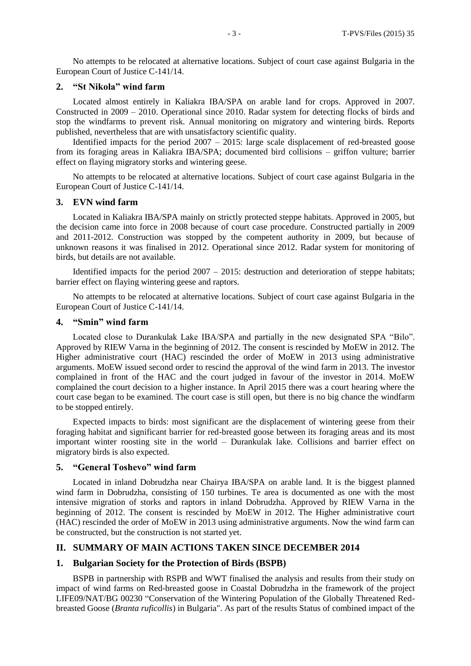No attempts to be relocated at alternative locations. Subject of court case against Bulgaria in the European Court of Justice C-141/14.

## **2. "St Nikola" wind farm**

Located almost entirely in Kaliakra IBA/SPA on arable land for crops. Approved in 2007. Constructed in 2009 – 2010. Operational since 2010. Radar system for detecting flocks of birds and stop the windfarms to prevent risk. Annual monitoring on migratory and wintering birds. Reports published, nevertheless that are with unsatisfactory scientific quality.

Identified impacts for the period 2007 – 2015: large scale displacement of red-breasted goose from its foraging areas in Kaliakra IBA/SPA; documented bird collisions – griffon vulture; barrier effect on flaying migratory storks and wintering geese.

No attempts to be relocated at alternative locations. Subject of court case against Bulgaria in the European Court of Justice C-141/14.

#### **3. EVN wind farm**

Located in Kaliakra IBA/SPA mainly on strictly protected steppe habitats. Approved in 2005, but the decision came into force in 2008 because of court case procedure. Constructed partially in 2009 and 2011-2012. Construction was stopped by the competent authority in 2009, but because of unknown reasons it was finalised in 2012. Operational since 2012. Radar system for monitoring of birds, but details are not available.

Identified impacts for the period  $2007 - 2015$ : destruction and deterioration of steppe habitats; barrier effect on flaying wintering geese and raptors.

No attempts to be relocated at alternative locations. Subject of court case against Bulgaria in the European Court of Justice C-141/14.

#### **4. "Smin" wind farm**

Located close to Durankulak Lake IBA/SPA and partially in the new designated SPA "Bilo". Approved by RIEW Varna in the beginning of 2012. The consent is rescinded by MoEW in 2012. The Higher administrative court (HAC) rescinded the order of MoEW in 2013 using administrative arguments. MoEW issued second order to rescind the approval of the wind farm in 2013. The investor complained in front of the HAC and the court judged in favour of the investor in 2014. MoEW complained the court decision to a higher instance. In April 2015 there was a court hearing where the court case began to be examined. The court case is still open, but there is no big chance the windfarm to be stopped entirely.

Expected impacts to birds: most significant are the displacement of wintering geese from their foraging habitat and significant barrier for red-breasted goose between its foraging areas and its most important winter roosting site in the world – Durankulak lake. Collisions and barrier effect on migratory birds is also expected.

#### **5. "General Toshevo" wind farm**

Located in inland Dobrudzha near Chairya IBA/SPA on arable land. It is the biggest planned wind farm in Dobrudzha, consisting of 150 turbines. Te area is documented as one with the most intensive migration of storks and raptors in inland Dobrudzha. Approved by RIEW Varna in the beginning of 2012. The consent is rescinded by MoEW in 2012. The Higher administrative court (HAC) rescinded the order of MoEW in 2013 using administrative arguments. Now the wind farm can be constructed, but the construction is not started yet.

#### **II. SUMMARY OF MAIN ACTIONS TAKEN SINCE DECEMBER 2014**

#### **1. Bulgarian Society for the Protection of Birds (BSPB)**

BSPB in partnership with RSPB and WWT finalised the analysis and results from their study on impact of wind farms on Red-breasted goose in Coastal Dobrudzha in the framework of the project LIFE09/NAT/BG 00230 "Conservation of the Wintering Population of the Globally Threatened Redbreasted Goose (*Branta ruficollis*) in Bulgaria". As part of the results Status of combined impact of the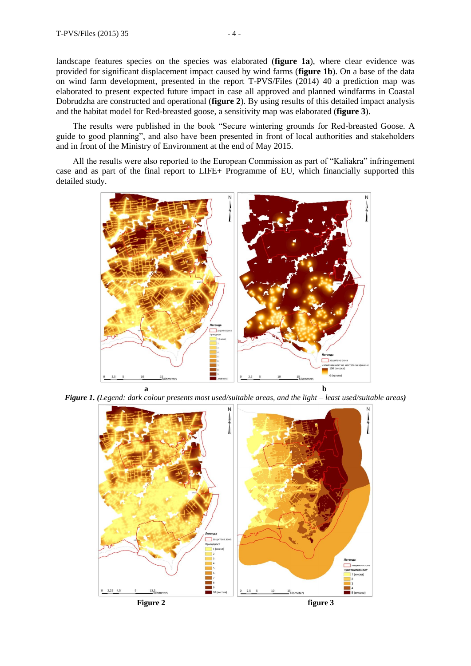landscape features species on the species was elaborated (**figure 1a**), where clear evidence was provided for significant displacement impact caused by wind farms (**figure 1b**). On a base of the data on wind farm development, presented in the report T-PVS/Files (2014) 40 a prediction map was elaborated to present expected future impact in case all approved and planned windfarms in Coastal Dobrudzha are constructed and operational (**figure 2**). By using results of this detailed impact analysis and the habitat model for Red-breasted goose, a sensitivity map was elaborated (**figure 3**).

The results were published in the book "Secure wintering grounds for Red-breasted Goose. A guide to good planning", and also have been presented in front of local authorities and stakeholders and in front of the Ministry of Environment at the end of May 2015.

All the results were also reported to the European Commission as part of "Kaliakra" infringement case and as part of the final report to LIFE+ Programme of EU, which financially supported this detailed study.



*Figure 1. (Legend: dark colour presents most used/suitable areas, and the light – least used/suitable areas)*

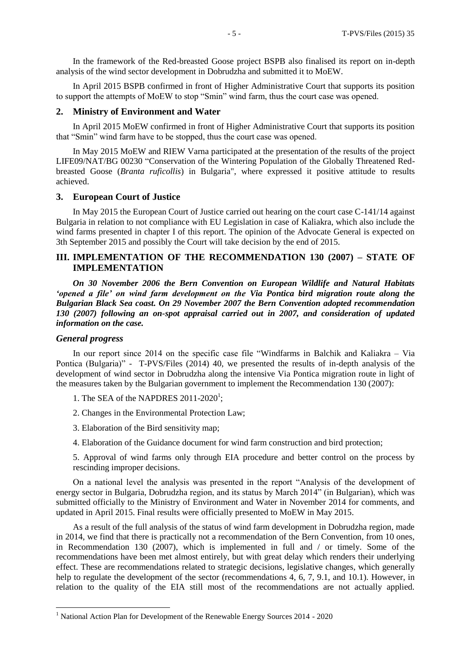In the framework of the Red-breasted Goose project BSPB also finalised its report on in-depth analysis of the wind sector development in Dobrudzha and submitted it to MoEW.

In April 2015 BSPB confirmed in front of Higher Administrative Court that supports its position to support the attempts of MoEW to stop "Smin" wind farm, thus the court case was opened.

#### **2. Ministry of Environment and Water**

In April 2015 MoEW confirmed in front of Higher Administrative Court that supports its position that "Smin" wind farm have to be stopped, thus the court case was opened.

In May 2015 MoEW and RIEW Varna participated at the presentation of the results of the project LIFE09/NAT/BG 00230 "Conservation of the Wintering Population of the Globally Threatened Redbreasted Goose (*Branta ruficollis*) in Bulgaria", where expressed it positive attitude to results achieved.

#### **3. European Court of Justice**

In May 2015 the European Court of Justice carried out hearing on the court case C-141/14 against Bulgaria in relation to not compliance with EU Legislation in case of Kaliakra, which also include the wind farms presented in chapter I of this report. The opinion of the Advocate General is expected on 3th September 2015 and possibly the Court will take decision by the end of 2015.

# **III. IMPLEMENTATION OF THE RECOMMENDATION 130 (2007) – STATE OF IMPLEMENTATION**

*On 30 November 2006 the Bern Convention on European Wildlife and Natural Habitats 'opened a file' on wind farm development on the Via Pontica bird migration route along the Bulgarian Black Sea coast. On 29 November 2007 the Bern Convention adopted recommendation 130 (2007) following an on-spot appraisal carried out in 2007, and consideration of updated information on the case.*

#### *General progress*

 $\overline{a}$ 

In our report since 2014 on the specific case file "Windfarms in Balchik and Kaliakra – Via Pontica (Bulgaria)" - T-PVS/Files (2014) 40, we presented the results of in-depth analysis of the development of wind sector in Dobrudzha along the intensive Via Pontica migration route in light of the measures taken by the Bulgarian government to implement the Recommendation 130 (2007):

- 1. The SEA of the NAPDRES  $2011-2020^1$ ;
- 2. Changes in the Environmental Protection Law;
- 3. Elaboration of the Bird sensitivity map;
- 4. Elaboration of the Guidance document for wind farm construction and bird protection;

5. Approval of wind farms only through EIA procedure and better control on the process by rescinding improper decisions.

On a national level the analysis was presented in the report "Analysis of the development of energy sector in Bulgaria, Dobrudzha region, and its status by March 2014" (in Bulgarian), which was submitted officially to the Ministry of Environment and Water in November 2014 for comments, and updated in April 2015. Final results were officially presented to MoEW in May 2015.

As a result of the full analysis of the status of wind farm development in Dobrudzha region, made in 2014, we find that there is practically not a recommendation of the Bern Convention, from 10 ones, in Recommendation 130 (2007), which is implemented in full and / or timely. Some of the recommendations have been met almost entirely, but with great delay which renders their underlying effect. These are recommendations related to strategic decisions, legislative changes, which generally help to regulate the development of the sector (recommendations 4, 6, 7, 9.1, and 10.1). However, in relation to the quality of the EIA still most of the recommendations are not actually applied.

<sup>&</sup>lt;sup>1</sup> National Action Plan for Development of the Renewable Energy Sources 2014 - 2020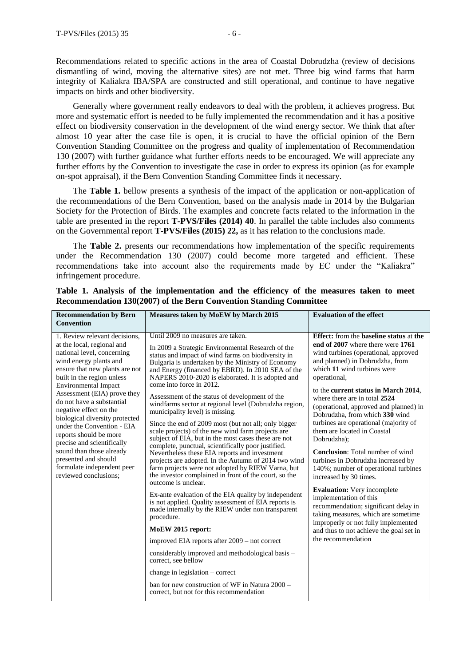Recommendations related to specific actions in the area of Coastal Dobrudzha (review of decisions dismantling of wind, moving the alternative sites) are not met. Three big wind farms that harm integrity of Kaliakra IBA/SPA are constructed and still operational, and continue to have negative impacts on birds and other biodiversity.

Generally where government really endeavors to deal with the problem, it achieves progress. But more and systematic effort is needed to be fully implemented the recommendation and it has a positive effect on biodiversity conservation in the development of the wind energy sector. We think that after almost 10 year after the case file is open, it is crucial to have the official opinion of the Bern Convention Standing Committee on the progress and quality of implementation of Recommendation 130 (2007) with further guidance what further efforts needs to be encouraged. We will appreciate any further efforts by the Convention to investigate the case in order to express its opinion (as for example on-spot appraisal), if the Bern Convention Standing Committee finds it necessary.

The **Table 1.** bellow presents a synthesis of the impact of the application or non-application of the recommendations of the Bern Convention, based on the analysis made in 2014 by the Bulgarian Society for the Protection of Birds. The examples and concrete facts related to the information in the table are presented in the report **T-PVS/Files (2014) 40**. In parallel the table includes also comments on the Governmental report **T-PVS/Files (2015) 22,** as it has relation to the conclusions made.

The **Table 2.** presents our recommendations how implementation of the specific requirements under the Recommendation 130 (2007) could become more targeted and efficient. These recommendations take into account also the requirements made by EC under the "Kaliakra" infringement procedure.

| <b>Recommendation by Bern</b><br><b>Convention</b>                                                                                                                                                                                                                                                                                                                                                                                                                                                                                          | Measures taken by MoEW by March 2015                                                                                                                                                                                                                                                                                                                                                                                                                                                                                                                                                                                                                                                                                                                                                                                                                                                                                                                                                                                                                                                                                                                                                                                                                                                                                                                                                                                                  | <b>Evaluation of the effect</b>                                                                                                                                                                                                                                                                                                                                                                                                                                                                                                                                                                                                                                                                                                                                                                                                                                            |
|---------------------------------------------------------------------------------------------------------------------------------------------------------------------------------------------------------------------------------------------------------------------------------------------------------------------------------------------------------------------------------------------------------------------------------------------------------------------------------------------------------------------------------------------|---------------------------------------------------------------------------------------------------------------------------------------------------------------------------------------------------------------------------------------------------------------------------------------------------------------------------------------------------------------------------------------------------------------------------------------------------------------------------------------------------------------------------------------------------------------------------------------------------------------------------------------------------------------------------------------------------------------------------------------------------------------------------------------------------------------------------------------------------------------------------------------------------------------------------------------------------------------------------------------------------------------------------------------------------------------------------------------------------------------------------------------------------------------------------------------------------------------------------------------------------------------------------------------------------------------------------------------------------------------------------------------------------------------------------------------|----------------------------------------------------------------------------------------------------------------------------------------------------------------------------------------------------------------------------------------------------------------------------------------------------------------------------------------------------------------------------------------------------------------------------------------------------------------------------------------------------------------------------------------------------------------------------------------------------------------------------------------------------------------------------------------------------------------------------------------------------------------------------------------------------------------------------------------------------------------------------|
| 1. Review relevant decisions,<br>at the local, regional and<br>national level, concerning<br>wind energy plants and<br>ensure that new plants are not<br>built in the region unless<br><b>Environmental Impact</b><br>Assessment (EIA) prove they<br>do not have a substantial<br>negative effect on the<br>biological diversity protected<br>under the Convention - EIA<br>reports should be more<br>precise and scientifically<br>sound than those already<br>presented and should<br>formulate independent peer<br>reviewed conclusions: | Until 2009 no measures are taken.<br>In 2009 a Strategic Environmental Research of the<br>status and impact of wind farms on biodiversity in<br>Bulgaria is undertaken by the Ministry of Economy<br>and Energy (financed by EBRD). In 2010 SEA of the<br>NAPERS 2010-2020 is elaborated. It is adopted and<br>come into force in 2012.<br>Assessment of the status of development of the<br>windfarms sector at regional level (Dobrudzha region,<br>municipality level) is missing.<br>Since the end of 2009 most (but not all; only bigger<br>scale projects) of the new wind farm projects are<br>subject of EIA, but in the most cases these are not<br>complete, punctual, scientifically poor justified.<br>Nevertheless these EIA reports and investment<br>projects are adopted. In the Autumn of 2014 two wind<br>farm projects were not adopted by RIEW Varna, but<br>the investor complained in front of the court, so the<br>outcome is unclear.<br>Ex-ante evaluation of the EIA quality by independent<br>is not applied. Quality assessment of EIA reports is<br>made internally by the RIEW under non transparent<br>procedure.<br>MoEW 2015 report:<br>improved EIA reports after 2009 – not correct<br>considerably improved and methodological basis -<br>correct, see bellow<br>change in legislation $-$ correct<br>ban for new construction of WF in Natura 2000 –<br>correct, but not for this recommendation | <b>Effect:</b> from the <b>baseline</b> status at the<br>end of 2007 where there were 1761<br>wind turbines (operational, approved<br>and planned) in Dobrudzha, from<br>which 11 wind turbines were<br>operational,<br>to the current status in March 2014,<br>where there are in total 2524<br>(operational, approved and planned) in<br>Dobrudzha, from which 330 wind<br>turbines are operational (majority of<br>them are located in Coastal<br>Dobrudzha):<br><b>Conclusion:</b> Total number of wind<br>turbines in Dobrudzha increased by<br>140%; number of operational turbines<br>increased by 30 times.<br><b>Evaluation:</b> Very incomplete<br>implementation of this<br>recommendation; significant delay in<br>taking measures, which are sometime<br>improperly or not fully implemented<br>and thus to not achieve the goal set in<br>the recommendation |

**Table 1. Analysis of the implementation and the efficiency of the measures taken to meet Recommendation 130(2007) of the Bern Convention Standing Committee**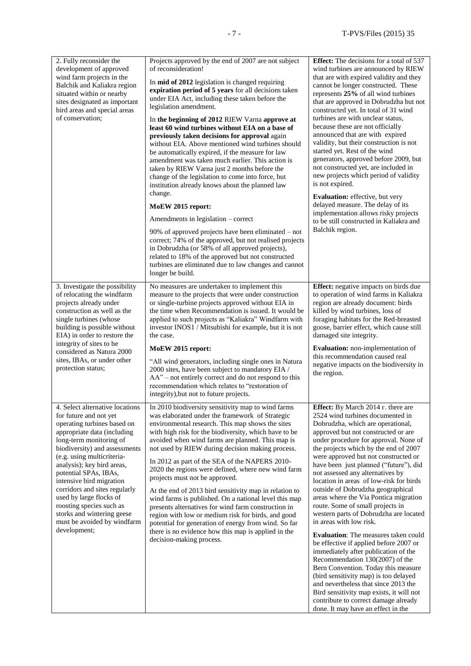| 2. Fully reconsider the<br>development of approved<br>wind farm projects in the<br>Balchik and Kaliakra region<br>situated within or nearby<br>sites designated as important<br>bird areas and special areas<br>of conservation;                                                                                                                                                                                                                                          | Projects approved by the end of 2007 are not subject<br>of reconsideration!<br>In <b>mid of 2012</b> legislation is changed requiring<br>expiration period of 5 years for all decisions taken<br>under EIA Act, including these taken before the<br>legislation amendment.<br>In the beginning of 2012 RIEW Varna approve at<br>least 60 wind turbines without EIA on a base of<br>previously taken decisions for approval again<br>without EIA. Above mentioned wind turbines should<br>be automatically expired, if the measure for law<br>amendment was taken much earlier. This action is<br>taken by RIEW Varna just 2 months before the<br>change of the legislation to come into force, but<br>institution already knows about the planned law<br>change.<br>MoEW 2015 report:<br>Amendments in legislation – correct<br>90% of approved projects have been eliminated – not<br>correct; 74% of the approved, but not realised projects<br>in Dobrudzha (or 58% of all approved projects),<br>related to 18% of the approved but not constructed<br>turbines are eliminated due to law changes and cannot<br>longer be build. | <b>Effect:</b> The decisions for a total of 537<br>wind turbines are announced by RIEW<br>that are with expired validity and they<br>cannot be longer constructed. These<br>represents 25% of all wind turbines<br>that are approved in Dobrudzha but not<br>constructed yet. In total of 31 wind<br>turbines are with unclear status,<br>because these are not officially<br>announced that are with expired<br>validity, but their construction is not<br>started yet. Rest of the wind<br>generators, approved before 2009, but<br>not constructed yet, are included in<br>new projects which period of validity<br>is not expired.<br>Evaluation: effective, but very<br>delayed measure. The delay of its<br>implementation allows risky projects<br>to be still constructed in Kaliakra and<br>Balchik region.                                                                                                                                                                                               |
|---------------------------------------------------------------------------------------------------------------------------------------------------------------------------------------------------------------------------------------------------------------------------------------------------------------------------------------------------------------------------------------------------------------------------------------------------------------------------|--------------------------------------------------------------------------------------------------------------------------------------------------------------------------------------------------------------------------------------------------------------------------------------------------------------------------------------------------------------------------------------------------------------------------------------------------------------------------------------------------------------------------------------------------------------------------------------------------------------------------------------------------------------------------------------------------------------------------------------------------------------------------------------------------------------------------------------------------------------------------------------------------------------------------------------------------------------------------------------------------------------------------------------------------------------------------------------------------------------------------------------|--------------------------------------------------------------------------------------------------------------------------------------------------------------------------------------------------------------------------------------------------------------------------------------------------------------------------------------------------------------------------------------------------------------------------------------------------------------------------------------------------------------------------------------------------------------------------------------------------------------------------------------------------------------------------------------------------------------------------------------------------------------------------------------------------------------------------------------------------------------------------------------------------------------------------------------------------------------------------------------------------------------------|
| 3. Investigate the possibility<br>of relocating the windfarm<br>projects already under<br>construction as well as the<br>single turbines (whose<br>building is possible without<br>EIA) in order to restore the<br>integrity of sites to be<br>considered as Natura 2000<br>sites, IBAs, or under other<br>protection status;                                                                                                                                             | No measures are undertaken to implement this<br>measure to the projects that were under construction<br>or single-turbine projects approved without EIA in<br>the time when Recommendation is issued. It would be<br>applied to such projects as "Kaliakra" Windfarm with<br>investor INOS1 / Mitsubishi for example, but it is not<br>the case.<br>MoEW 2015 report:<br>"All wind generators, including single ones in Natura<br>2000 sites, have been subject to mandatory EIA /<br>AA" – not entirely correct and do not respond to this<br>recommendation which relates to "restoration of<br>integrity), but not to future projects.                                                                                                                                                                                                                                                                                                                                                                                                                                                                                            | Effect: negative impacts on birds due<br>to operation of wind farms in Kaliakra<br>region are already document: birds<br>killed by wind turbines, loss of<br>foraging habitats for the Red-breasted<br>goose, barrier effect, which cause still<br>damaged site integrity.<br><b>Evaluation:</b> non-implementation of<br>this recommendation caused real<br>negative impacts on the biodiversity in<br>the region.                                                                                                                                                                                                                                                                                                                                                                                                                                                                                                                                                                                                |
| 4. Select alternative locations<br>for future and not yet<br>operating turbines based on<br>appropriate data (including<br>long-term monitoring of<br>biodiversity) and assessments<br>(e.g. using multicriteria-<br>analysis); key bird areas,<br>potential SPAs, IBAs,<br>intensive bird migration<br>corridors and sites regularly<br>used by large flocks of<br>roosting species such as<br>storks and wintering geese<br>must be avoided by windfarm<br>development; | In 2010 biodiversity sensitivity map to wind farms<br>was elaborated under the framework of Strategic<br>environmental research. This map shows the sites<br>with high risk for the biodiversity, which have to be<br>avoided when wind farms are planned. This map is<br>not used by RIEW during decision making process.<br>In 2012 as part of the SEA of the NAPERS 2010-<br>2020 the regions were defined, where new wind farm<br>projects must not be approved.<br>At the end of 2013 bird sensitivity map in relation to<br>wind farms is published. On a national level this map<br>presents alternatives for wind farm construction in<br>region with low or medium risk for birds, and good<br>potential for generation of energy from wind. So far<br>there is no evidence how this map is applied in the<br>decision-making process.                                                                                                                                                                                                                                                                                      | Effect: By March 2014 r. there are<br>2524 wind turbines documented in<br>Dobrudzha, which are operational,<br>approved but not constructed or are<br>under procedure for approval. None of<br>the projects which by the end of 2007<br>were approved but not constructed or<br>have been just planned ("future"), did<br>not assessed any alternatives by<br>location in areas of low-risk for birds<br>outside of Dobrudzha geographical<br>areas where the Via Pontica migration<br>route. Some of small projects in<br>western parts of Dobrudzha are located<br>in areas with low risk.<br><b>Evaluation:</b> The measures taken could<br>be effective if applied before 2007 or<br>immediately after publication of the<br>Recommendation 130(2007) of the<br>Bern Convention. Today this measure<br>(bird sensitivity map) is too delayed<br>and nevertheless that since 2013 the<br>Bird sensitivity map exists, it will not<br>contribute to correct damage already<br>done. It may have an effect in the |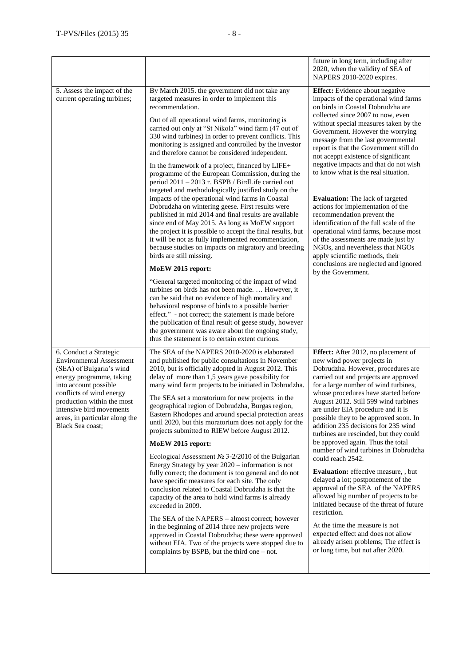|                                                                                                                                                                                                                                                                                               |                                                                                                                                                                                                                                                                                                                                                                                                                                                                                                                                                                                                                                                                                                                                                                                                                                                                                                                                                                                                                                                                                                                                                                                                                                                                                                                                                                                                                                                                                                                               | future in long term, including after<br>2020, when the validity of SEA of<br>NAPERS 2010-2020 expires.                                                                                                                                                                                                                                                                                                                                                                                                                                                                                                                                                                                                                                                                                                                                                                                                                   |
|-----------------------------------------------------------------------------------------------------------------------------------------------------------------------------------------------------------------------------------------------------------------------------------------------|-------------------------------------------------------------------------------------------------------------------------------------------------------------------------------------------------------------------------------------------------------------------------------------------------------------------------------------------------------------------------------------------------------------------------------------------------------------------------------------------------------------------------------------------------------------------------------------------------------------------------------------------------------------------------------------------------------------------------------------------------------------------------------------------------------------------------------------------------------------------------------------------------------------------------------------------------------------------------------------------------------------------------------------------------------------------------------------------------------------------------------------------------------------------------------------------------------------------------------------------------------------------------------------------------------------------------------------------------------------------------------------------------------------------------------------------------------------------------------------------------------------------------------|--------------------------------------------------------------------------------------------------------------------------------------------------------------------------------------------------------------------------------------------------------------------------------------------------------------------------------------------------------------------------------------------------------------------------------------------------------------------------------------------------------------------------------------------------------------------------------------------------------------------------------------------------------------------------------------------------------------------------------------------------------------------------------------------------------------------------------------------------------------------------------------------------------------------------|
| 5. Assess the impact of the<br>current operating turbines;                                                                                                                                                                                                                                    | By March 2015. the government did not take any<br>targeted measures in order to implement this<br>recommendation.<br>Out of all operational wind farms, monitoring is<br>carried out only at "St Nikola" wind farm (47 out of<br>330 wind turbines) in order to prevent conflicts. This<br>monitoring is assigned and controlled by the investor<br>and therefore cannot be considered independent.<br>In the framework of a project, financed by LIFE+<br>programme of the European Commission, during the<br>period 2011 - 2013 r. BSPB / BirdLife carried out<br>targeted and methodologically justified study on the<br>impacts of the operational wind farms in Coastal<br>Dobrudzha on wintering geese. First results were<br>published in mid 2014 and final results are available<br>since end of May 2015. As long as MoEW support<br>the project it is possible to accept the final results, but<br>it will be not as fully implemented recommendation,<br>because studies on impacts on migratory and breeding<br>birds are still missing.<br>MoEW 2015 report:<br>"General targeted monitoring of the impact of wind<br>turbines on birds has not been made.  However, it<br>can be said that no evidence of high mortality and<br>behavioral response of birds to a possible barrier<br>effect." - not correct; the statement is made before<br>the publication of final result of geese study, however<br>the government was aware about the ongoing study,<br>thus the statement is to certain extent curious. | <b>Effect:</b> Evidence about negative<br>impacts of the operational wind farms<br>on birds in Coastal Dobrudzha are<br>collected since 2007 to now, even<br>without special measures taken by the<br>Government. However the worrying<br>message from the last governmental<br>report is that the Government still do<br>not aceppt existence of significant<br>negative impacts and that do not wish<br>to know what is the real situation.<br>Evaluation: The lack of targeted<br>actions for implementation of the<br>recommendation prevent the<br>identification of the full scale of the<br>operational wind farms, because most<br>of the assessments are made just by<br>NGOs, and nevertheless that NGOs<br>apply scientific methods, their<br>conclusions are neglected and ignored<br>by the Government.                                                                                                     |
| 6. Conduct a Strategic<br><b>Environmental Assessment</b><br>(SEA) of Bulgaria's wind<br>energy programme, taking<br>into account possible<br>conflicts of wind energy<br>production within the most<br>intensive bird movements<br>areas, in particular along the<br><b>Black Sea coast;</b> | The SEA of the NAPERS 2010-2020 is elaborated<br>and published for public consultations in November<br>2010, but is officially adopted in August 2012. This<br>delay of more than 1,5 years gave possibility for<br>many wind farm projects to be initiated in Dobrudzha.<br>The SEA set a moratorium for new projects in the<br>geographical region of Dobrudzha, Burgas region,<br>Eastern Rhodopes and around special protection areas<br>until 2020, but this moratorium does not apply for the<br>projects submitted to RIEW before August 2012.<br>MoEW 2015 report:<br>Ecological Assessment No $3-2/2010$ of the Bulgarian<br>Energy Strategy by year 2020 – information is not<br>fully correct; the document is too general and do not<br>have specific measures for each site. The only<br>conclusion related to Coastal Dobrudzha is that the<br>capacity of the area to hold wind farms is already<br>exceeded in 2009.<br>The SEA of the NAPERS - almost correct; however<br>in the beginning of 2014 three new projects were<br>approved in Coastal Dobrudzha; these were approved<br>without EIA. Two of the projects were stopped due to<br>complaints by BSPB, but the third one - not.                                                                                                                                                                                                                                                                                                                     | Effect: After 2012, no placement of<br>new wind power projects in<br>Dobrudzha. However, procedures are<br>carried out and projects are approved<br>for a large number of wind turbines,<br>whose procedures have started before<br>August 2012. Still 599 wind turbines<br>are under EIA procedure and it is<br>possible they to be approved soon. In<br>addition 235 decisions for 235 wind<br>turbines are rescinded, but they could<br>be approved again. Thus the total<br>number of wind turbines in Dobrudzha<br>could reach 2542.<br>Evaluation: effective measure, , but<br>delayed a lot; postponement of the<br>approval of the SEA of the NAPERS<br>allowed big number of projects to be<br>initiated because of the threat of future<br>restriction.<br>At the time the measure is not<br>expected effect and does not allow<br>already arisen problems; The effect is<br>or long time, but not after 2020. |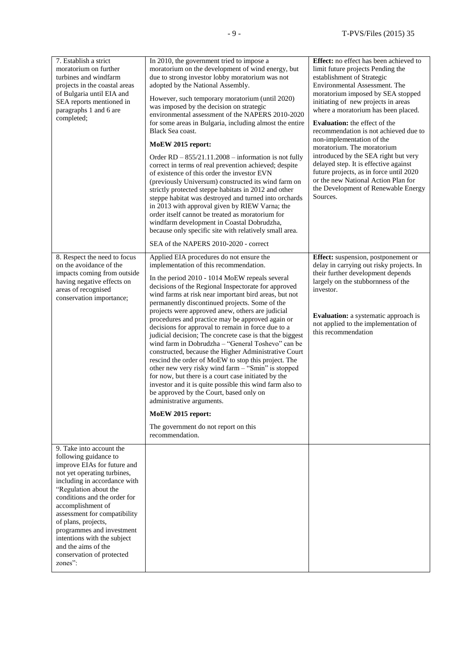| 7. Establish a strict<br>moratorium on further<br>turbines and windfarm<br>projects in the coastal areas<br>of Bulgaria until EIA and<br>SEA reports mentioned in<br>paragraphs 1 and 6 are<br>completed;                                                                                                                                                                                                       | In 2010, the government tried to impose a<br>moratorium on the development of wind energy, but<br>due to strong investor lobby moratorium was not<br>adopted by the National Assembly.<br>However, such temporary moratorium (until 2020)<br>was imposed by the decision on strategic<br>environmental assessment of the NAPERS 2010-2020<br>for some areas in Bulgaria, including almost the entire                                                                                                                                                                                                                                                                                                                                                                                                                                                                                                                                                                                                                                  | Effect: no effect has been achieved to<br>limit future projects Pending the<br>establishment of Strategic<br>Environmental Assessment. The<br>moratorium imposed by SEA stopped<br>initiating of new projects in areas<br>where a moratorium has been placed.<br>Evaluation: the effect of the |
|-----------------------------------------------------------------------------------------------------------------------------------------------------------------------------------------------------------------------------------------------------------------------------------------------------------------------------------------------------------------------------------------------------------------|---------------------------------------------------------------------------------------------------------------------------------------------------------------------------------------------------------------------------------------------------------------------------------------------------------------------------------------------------------------------------------------------------------------------------------------------------------------------------------------------------------------------------------------------------------------------------------------------------------------------------------------------------------------------------------------------------------------------------------------------------------------------------------------------------------------------------------------------------------------------------------------------------------------------------------------------------------------------------------------------------------------------------------------|------------------------------------------------------------------------------------------------------------------------------------------------------------------------------------------------------------------------------------------------------------------------------------------------|
|                                                                                                                                                                                                                                                                                                                                                                                                                 | Black Sea coast.                                                                                                                                                                                                                                                                                                                                                                                                                                                                                                                                                                                                                                                                                                                                                                                                                                                                                                                                                                                                                      | recommendation is not achieved due to<br>non-implementation of the                                                                                                                                                                                                                             |
|                                                                                                                                                                                                                                                                                                                                                                                                                 | MoEW 2015 report:<br>Order $RD - 855/21.11.2008 - information$ is not fully<br>correct in terms of real prevention achieved; despite<br>of existence of this order the investor EVN<br>(previously Universum) constructed its wind farm on<br>strictly protected steppe habitats in 2012 and other<br>steppe habitat was destroyed and turned into orchards<br>in 2013 with approval given by RIEW Varna; the<br>order itself cannot be treated as moratorium for<br>windfarm development in Coastal Dobrudzha,<br>because only specific site with relatively small area.                                                                                                                                                                                                                                                                                                                                                                                                                                                             | moratorium. The moratorium<br>introduced by the SEA right but very<br>delayed step. It is effective against<br>future projects, as in force until 2020<br>or the new National Action Plan for<br>the Development of Renewable Energy<br>Sources.                                               |
|                                                                                                                                                                                                                                                                                                                                                                                                                 | SEA of the NAPERS 2010-2020 - correct                                                                                                                                                                                                                                                                                                                                                                                                                                                                                                                                                                                                                                                                                                                                                                                                                                                                                                                                                                                                 |                                                                                                                                                                                                                                                                                                |
| 8. Respect the need to focus<br>on the avoidance of the<br>impacts coming from outside<br>having negative effects on<br>areas of recognised<br>conservation importance;                                                                                                                                                                                                                                         | Applied EIA procedures do not ensure the<br>implementation of this recommendation.<br>In the period 2010 - 1014 MoEW repeals several<br>decisions of the Regional Inspectorate for approved<br>wind farms at risk near important bird areas, but not<br>permanently discontinued projects. Some of the<br>projects were approved anew, others are judicial<br>procedures and practice may be approved again or<br>decisions for approval to remain in force due to a<br>judicial decision; The concrete case is that the biggest<br>wind farm in Dobrudzha – "General Toshevo" can be<br>constructed, because the Higher Administrative Court<br>rescind the order of MoEW to stop this project. The<br>other new very risky wind farm - "Smin" is stopped<br>for now, but there is a court case initiated by the<br>investor and it is quite possible this wind farm also to<br>be approved by the Court, based only on<br>administrative arguments.<br>MoEW 2015 report:<br>The government do not report on this<br>recommendation. | <b>Effect:</b> suspension, postponement or<br>delay in carrying out risky projects. In<br>their further development depends<br>largely on the stubbornness of the<br>investor.<br><b>Evaluation:</b> a systematic approach is<br>not applied to the implementation of<br>this recommendation   |
| 9. Take into account the<br>following guidance to<br>improve EIAs for future and<br>not yet operating turbines,<br>including in accordance with<br>"Regulation about the<br>conditions and the order for<br>accomplishment of<br>assessment for compatibility<br>of plans, projects,<br>programmes and investment<br>intentions with the subject<br>and the aims of the<br>conservation of protected<br>zones": |                                                                                                                                                                                                                                                                                                                                                                                                                                                                                                                                                                                                                                                                                                                                                                                                                                                                                                                                                                                                                                       |                                                                                                                                                                                                                                                                                                |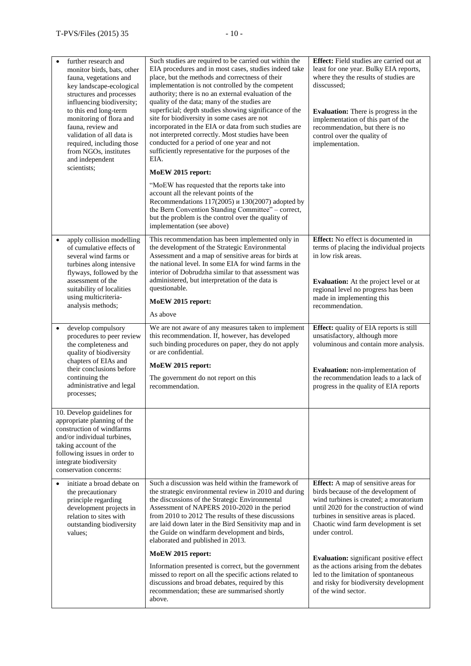| $\bullet$ | further research and<br>monitor birds, bats, other<br>fauna, vegetations and<br>key landscape-ecological<br>structures and processes<br>influencing biodiversity;<br>to this end long-term<br>monitoring of flora and<br>fauna, review and<br>validation of all data is<br>required, including those<br>from NGOs, institutes<br>and independent<br>scientists; | Such studies are required to be carried out within the<br>EIA procedures and in most cases, studies indeed take<br>place, but the methods and correctness of their<br>implementation is not controlled by the competent<br>authority; there is no an external evaluation of the<br>quality of the data; many of the studies are<br>superficial; depth studies showing significance of the<br>site for biodiversity in some cases are not<br>incorporated in the EIA or data from such studies are<br>not interpreted correctly. Most studies have been<br>conducted for a period of one year and not<br>sufficiently representative for the purposes of the<br>EIA.<br>MoEW 2015 report:<br>"MoEW has requested that the reports take into<br>account all the relevant points of the<br>Recommendations $117(2005)$ $\mu$ 130(2007) adopted by<br>the Bern Convention Standing Committee" – correct,<br>but the problem is the control over the quality of<br>implementation (see above) | Effect: Field studies are carried out at<br>least for one year. Bulky EIA reports,<br>where they the results of studies are<br>disscussed;<br><b>Evaluation:</b> There is progress in the<br>implementation of this part of the<br>recommendation, but there is no<br>control over the quality of<br>implementation. |
|-----------|-----------------------------------------------------------------------------------------------------------------------------------------------------------------------------------------------------------------------------------------------------------------------------------------------------------------------------------------------------------------|------------------------------------------------------------------------------------------------------------------------------------------------------------------------------------------------------------------------------------------------------------------------------------------------------------------------------------------------------------------------------------------------------------------------------------------------------------------------------------------------------------------------------------------------------------------------------------------------------------------------------------------------------------------------------------------------------------------------------------------------------------------------------------------------------------------------------------------------------------------------------------------------------------------------------------------------------------------------------------------|----------------------------------------------------------------------------------------------------------------------------------------------------------------------------------------------------------------------------------------------------------------------------------------------------------------------|
| $\bullet$ | apply collision modelling<br>of cumulative effects of<br>several wind farms or<br>turbines along intensive<br>flyways, followed by the<br>assessment of the<br>suitability of localities<br>using multicriteria-<br>analysis methods;                                                                                                                           | This recommendation has been implemented only in<br>the development of the Strategic Environmental<br>Assessment and a map of sensitive areas for birds at<br>the national level. In some EIA for wind farms in the<br>interior of Dobrudzha similar to that assessment was<br>administered, but interpretation of the data is<br>questionable.<br>MoEW 2015 report:<br>As above                                                                                                                                                                                                                                                                                                                                                                                                                                                                                                                                                                                                         | Effect: No effect is documented in<br>terms of placing the individual projects<br>in low risk areas.<br>Evaluation: At the project level or at<br>regional level no progress has been<br>made in implementing this<br>recommendation.                                                                                |
| $\bullet$ | develop compulsory<br>procedures to peer review<br>the completeness and<br>quality of biodiversity<br>chapters of EIAs and<br>their conclusions before<br>continuing the<br>administrative and legal<br>processes;                                                                                                                                              | We are not aware of any measures taken to implement<br>this recommendation. If, however, has developed<br>such binding procedures on paper, they do not apply<br>or are confidential.<br>MoEW 2015 report:<br>The government do not report on this<br>recommendation.                                                                                                                                                                                                                                                                                                                                                                                                                                                                                                                                                                                                                                                                                                                    | Effect: quality of EIA reports is still<br>unsatisfactory, although more<br>voluminous and contain more analysis.<br>Evaluation: non-implementation of<br>the recommendation leads to a lack of<br>progress in the quality of EIA reports                                                                            |
|           | 10. Develop guidelines for<br>appropriate planning of the<br>construction of windfarms<br>and/or individual turbines,<br>taking account of the<br>following issues in order to<br>integrate biodiversity<br>conservation concerns:                                                                                                                              |                                                                                                                                                                                                                                                                                                                                                                                                                                                                                                                                                                                                                                                                                                                                                                                                                                                                                                                                                                                          |                                                                                                                                                                                                                                                                                                                      |
|           | initiate a broad debate on<br>the precautionary<br>principle regarding<br>development projects in<br>relation to sites with<br>outstanding biodiversity<br>values;                                                                                                                                                                                              | Such a discussion was held within the framework of<br>the strategic environmental review in 2010 and during<br>the discussions of the Strategic Environmental<br>Assessment of NAPERS 2010-2020 in the period<br>from 2010 to 2012 The results of these discussions<br>are laid down later in the Bird Sensitivity map and in<br>the Guide on windfarm development and birds,<br>elaborated and published in 2013.                                                                                                                                                                                                                                                                                                                                                                                                                                                                                                                                                                       | Effect: A map of sensitive areas for<br>birds because of the development of<br>wind turbines is created; a moratorium<br>until 2020 for the construction of wind<br>turbines in sensitive areas is placed.<br>Chaotic wind farm development is set<br>under control.                                                 |
|           |                                                                                                                                                                                                                                                                                                                                                                 | MoEW 2015 report:<br>Information presented is correct, but the government<br>missed to report on all the specific actions related to<br>discussions and broad debates, required by this<br>recommendation; these are summarised shortly<br>above.                                                                                                                                                                                                                                                                                                                                                                                                                                                                                                                                                                                                                                                                                                                                        | Evaluation: significant positive effect<br>as the actions arising from the debates<br>led to the limitation of spontaneous<br>and risky for biodiversity development<br>of the wind sector.                                                                                                                          |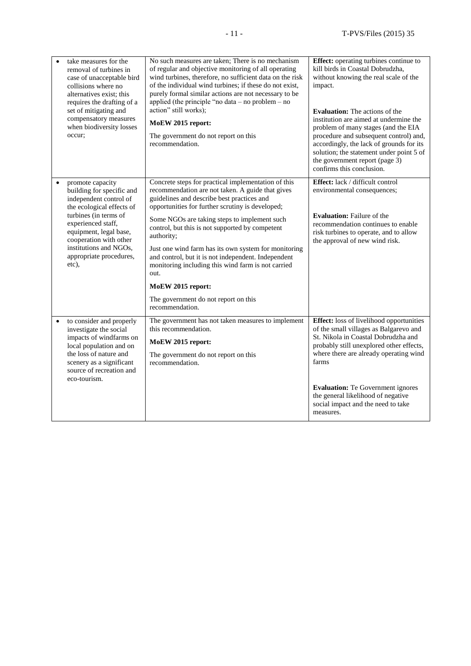| $\bullet$ | take measures for the<br>removal of turbines in<br>case of unacceptable bird<br>collisions where no<br>alternatives exist: this<br>requires the drafting of a<br>set of mitigating and<br>compensatory measures<br>when biodiversity losses<br>occur:                 | No such measures are taken; There is no mechanism<br>of regular and objective monitoring of all operating<br>wind turbines, therefore, no sufficient data on the risk<br>of the individual wind turbines; if these do not exist,<br>purely formal similar actions are not necessary to be<br>applied (the principle "no data $-$ no problem $-$ no<br>action" still works);<br>MoEW 2015 report:<br>The government do not report on this<br>recommendation.                                                                                                                             | Effect: operating turbines continue to<br>kill birds in Coastal Dobrudzha,<br>without knowing the real scale of the<br>impact.<br>Evaluation: The actions of the<br>institution are aimed at undermine the<br>problem of many stages (and the EIA<br>procedure and subsequent control) and,<br>accordingly, the lack of grounds for its<br>solution; the statement under point 5 of<br>the government report (page 3)<br>confirms this conclusion. |
|-----------|-----------------------------------------------------------------------------------------------------------------------------------------------------------------------------------------------------------------------------------------------------------------------|-----------------------------------------------------------------------------------------------------------------------------------------------------------------------------------------------------------------------------------------------------------------------------------------------------------------------------------------------------------------------------------------------------------------------------------------------------------------------------------------------------------------------------------------------------------------------------------------|----------------------------------------------------------------------------------------------------------------------------------------------------------------------------------------------------------------------------------------------------------------------------------------------------------------------------------------------------------------------------------------------------------------------------------------------------|
|           | promote capacity<br>building for specific and<br>independent control of<br>the ecological effects of<br>turbines (in terms of<br>experienced staff,<br>equipment, legal base,<br>cooperation with other<br>institutions and NGOs,<br>appropriate procedures,<br>etc), | Concrete steps for practical implementation of this<br>recommendation are not taken. A guide that gives<br>guidelines and describe best practices and<br>opportunities for further scrutiny is developed;<br>Some NGOs are taking steps to implement such<br>control, but this is not supported by competent<br>authority;<br>Just one wind farm has its own system for monitoring<br>and control, but it is not independent. Independent<br>monitoring including this wind farm is not carried<br>out.<br>MoEW 2015 report:<br>The government do not report on this<br>recommendation. | <b>Effect:</b> lack / difficult control<br>environmental consequences;<br><b>Evaluation:</b> Failure of the<br>recommendation continues to enable<br>risk turbines to operate, and to allow<br>the approval of new wind risk.                                                                                                                                                                                                                      |
| $\bullet$ | to consider and properly<br>investigate the social<br>impacts of windfarms on<br>local population and on<br>the loss of nature and<br>scenery as a significant<br>source of recreation and<br>eco-tourism.                                                            | The government has not taken measures to implement<br>this recommendation.<br>MoEW 2015 report:<br>The government do not report on this<br>recommendation.                                                                                                                                                                                                                                                                                                                                                                                                                              | <b>Effect:</b> loss of livelihood opportunities<br>of the small villages as Balgarevo and<br>St. Nikola in Coastal Dobrudzha and<br>probably still unexplored other effects,<br>where there are already operating wind<br>farms<br><b>Evaluation:</b> Te Government ignores<br>the general likelihood of negative<br>social impact and the need to take<br>measures.                                                                               |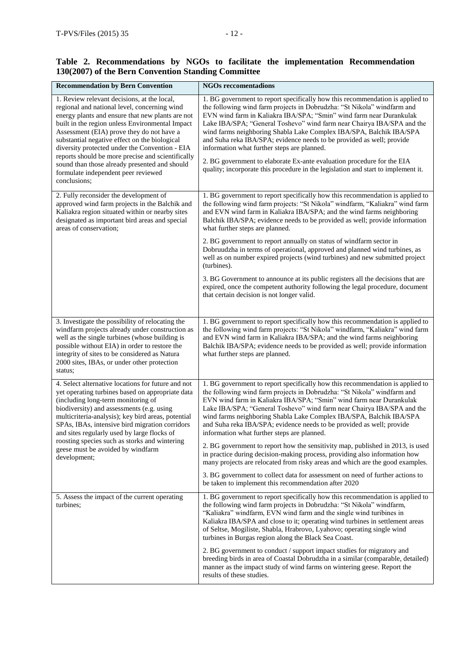# **Table 2. Recommendations by NGOs to facilitate the implementation Recommendation 130(2007) of the Bern Convention Standing Committee**

| <b>Recommendation by Bern Convention</b>                                                                                                                                                                                                                                                                                                                                                                                                                                                                        | <b>NGOs reccomentadions</b>                                                                                                                                                                                                                                                                                                                                                                                                                                                                                                                                                                                                                                             |
|-----------------------------------------------------------------------------------------------------------------------------------------------------------------------------------------------------------------------------------------------------------------------------------------------------------------------------------------------------------------------------------------------------------------------------------------------------------------------------------------------------------------|-------------------------------------------------------------------------------------------------------------------------------------------------------------------------------------------------------------------------------------------------------------------------------------------------------------------------------------------------------------------------------------------------------------------------------------------------------------------------------------------------------------------------------------------------------------------------------------------------------------------------------------------------------------------------|
| 1. Review relevant decisions, at the local,<br>regional and national level, concerning wind<br>energy plants and ensure that new plants are not<br>built in the region unless Environmental Impact<br>Assessment (EIA) prove they do not have a<br>substantial negative effect on the biological<br>diversity protected under the Convention - EIA<br>reports should be more precise and scientifically<br>sound than those already presented and should<br>formulate independent peer reviewed<br>conclusions; | 1. BG government to report specifically how this recommendation is applied to<br>the following wind farm projects in Dobrudzha: "St Nikola" windfarm and<br>EVN wind farm in Kaliakra IBA/SPA; "Smin" wind farm near Durankulak<br>Lake IBA/SPA; "General Toshevo" wind farm near Chairya IBA/SPA and the<br>wind farms neighboring Shabla Lake Complex IBA/SPA, Balchik IBA/SPA<br>and Suha reka IBA/SPA; evidence needs to be provided as well; provide<br>information what further steps are planned.<br>2. BG government to elaborate Ex-ante evaluation procedure for the EIA<br>quality; incorporate this procedure in the legislation and start to implement it. |
| 2. Fully reconsider the development of<br>approved wind farm projects in the Balchik and<br>Kaliakra region situated within or nearby sites<br>designated as important bird areas and special<br>areas of conservation;                                                                                                                                                                                                                                                                                         | 1. BG government to report specifically how this recommendation is applied to<br>the following wind farm projects: "St Nikola" windfarm, "Kaliakra" wind farm<br>and EVN wind farm in Kaliakra IBA/SPA; and the wind farms neighboring<br>Balchik IBA/SPA; evidence needs to be provided as well; provide information<br>what further steps are planned.                                                                                                                                                                                                                                                                                                                |
|                                                                                                                                                                                                                                                                                                                                                                                                                                                                                                                 | 2. BG government to report annually on status of windfarm sector in<br>Dobruudzha in terms of operational, approved and planned wind turbines, as<br>well as on number expired projects (wind turbines) and new submitted project<br>(turbines).                                                                                                                                                                                                                                                                                                                                                                                                                        |
|                                                                                                                                                                                                                                                                                                                                                                                                                                                                                                                 | 3. BG Government to announce at its public registers all the decisions that are<br>expired, once the competent authority following the legal procedure, document<br>that certain decision is not longer valid.                                                                                                                                                                                                                                                                                                                                                                                                                                                          |
| 3. Investigate the possibility of relocating the<br>windfarm projects already under construction as<br>well as the single turbines (whose building is<br>possible without EIA) in order to restore the<br>integrity of sites to be considered as Natura<br>2000 sites, IBAs, or under other protection<br>status;                                                                                                                                                                                               | 1. BG government to report specifically how this recommendation is applied to<br>the following wind farm projects: "St Nikola" windfarm, "Kaliakra" wind farm<br>and EVN wind farm in Kaliakra IBA/SPA; and the wind farms neighboring<br>Balchik IBA/SPA; evidence needs to be provided as well; provide information<br>what further steps are planned.                                                                                                                                                                                                                                                                                                                |
| 4. Select alternative locations for future and not<br>yet operating turbines based on appropriate data<br>(including long-term monitoring of<br>biodiversity) and assessments (e.g. using<br>multicriteria-analysis); key bird areas, potential<br>SPAs, IBAs, intensive bird migration corridors<br>and sites regularly used by large flocks of                                                                                                                                                                | 1. BG government to report specifically how this recommendation is applied to<br>the following wind farm projects in Dobrudzha: "St Nikola" windfarm and<br>EVN wind farm in Kaliakra IBA/SPA; "Smin" wind farm near Durankulak<br>Lake IBA/SPA; "General Toshevo" wind farm near Chairya IBA/SPA and the<br>wind farms neighboring Shabla Lake Complex IBA/SPA, Balchik IBA/SPA<br>and Suha reka IBA/SPA; evidence needs to be provided as well; provide<br>information what further steps are planned.                                                                                                                                                                |
| roosting species such as storks and wintering<br>geese must be avoided by windfarm<br>development;                                                                                                                                                                                                                                                                                                                                                                                                              | 2. BG government to report how the sensitivity map, published in 2013, is used<br>in practice during decision-making process, providing also information how<br>many projects are relocated from risky areas and which are the good examples.                                                                                                                                                                                                                                                                                                                                                                                                                           |
|                                                                                                                                                                                                                                                                                                                                                                                                                                                                                                                 | 3. BG government to collect data for assessment on need of further actions to<br>be taken to implement this recommendation after 2020                                                                                                                                                                                                                                                                                                                                                                                                                                                                                                                                   |
| 5. Assess the impact of the current operating<br>turbines;                                                                                                                                                                                                                                                                                                                                                                                                                                                      | 1. BG government to report specifically how this recommendation is applied to<br>the following wind farm projects in Dobrudzha: "St Nikola" windfarm,<br>"Kaliakra" windfarm, EVN wind farm and the single wind turibines in<br>Kaliakra IBA/SPA and close to it; operating wind turbines in settlement areas<br>of Seltse, Mogiliste, Shabla, Hrabrovo, Lyahovo; operating single wind<br>turbines in Burgas region along the Black Sea Coast.                                                                                                                                                                                                                         |
|                                                                                                                                                                                                                                                                                                                                                                                                                                                                                                                 | 2. BG government to conduct / support impact studies for migratory and<br>breeding birds in area of Coastal Dobrudzha in a similar (comparable, detailed)<br>manner as the impact study of wind farms on wintering geese. Report the<br>results of these studies.                                                                                                                                                                                                                                                                                                                                                                                                       |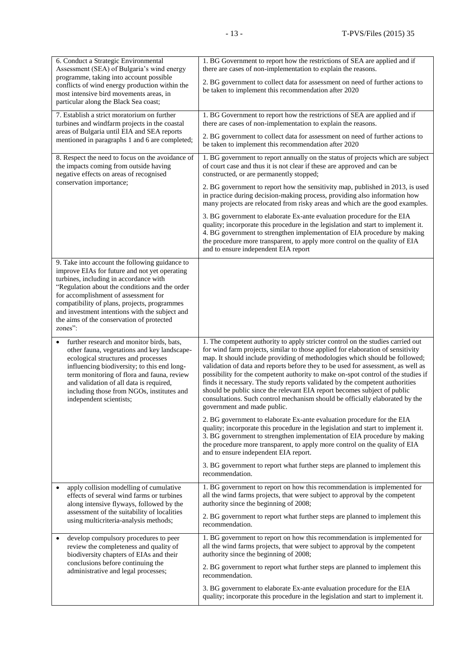| 6. Conduct a Strategic Environmental                                                                                                                                                                                                                                                                                                                                                          | 1. BG Government to report how the restrictions of SEA are applied and if                                                                                                                                                                                                                                                                                       |
|-----------------------------------------------------------------------------------------------------------------------------------------------------------------------------------------------------------------------------------------------------------------------------------------------------------------------------------------------------------------------------------------------|-----------------------------------------------------------------------------------------------------------------------------------------------------------------------------------------------------------------------------------------------------------------------------------------------------------------------------------------------------------------|
| Assessment (SEA) of Bulgaria's wind energy                                                                                                                                                                                                                                                                                                                                                    | there are cases of non-implementation to explain the reasons.                                                                                                                                                                                                                                                                                                   |
| programme, taking into account possible                                                                                                                                                                                                                                                                                                                                                       | 2. BG government to collect data for assessment on need of further actions to                                                                                                                                                                                                                                                                                   |
| conflicts of wind energy production within the                                                                                                                                                                                                                                                                                                                                                | be taken to implement this recommendation after 2020                                                                                                                                                                                                                                                                                                            |
| most intensive bird movements areas, in<br>particular along the Black Sea coast;                                                                                                                                                                                                                                                                                                              |                                                                                                                                                                                                                                                                                                                                                                 |
| 7. Establish a strict moratorium on further                                                                                                                                                                                                                                                                                                                                                   | 1. BG Government to report how the restrictions of SEA are applied and if                                                                                                                                                                                                                                                                                       |
| turbines and windfarm projects in the coastal                                                                                                                                                                                                                                                                                                                                                 | there are cases of non-implementation to explain the reasons.                                                                                                                                                                                                                                                                                                   |
| areas of Bulgaria until EIA and SEA reports                                                                                                                                                                                                                                                                                                                                                   | 2. BG government to collect data for assessment on need of further actions to                                                                                                                                                                                                                                                                                   |
| mentioned in paragraphs 1 and 6 are completed;                                                                                                                                                                                                                                                                                                                                                | be taken to implement this recommendation after 2020                                                                                                                                                                                                                                                                                                            |
| 8. Respect the need to focus on the avoidance of                                                                                                                                                                                                                                                                                                                                              | 1. BG government to report annually on the status of projects which are subject                                                                                                                                                                                                                                                                                 |
| the impacts coming from outside having                                                                                                                                                                                                                                                                                                                                                        | of court case and thus it is not clear if these are approved and can be                                                                                                                                                                                                                                                                                         |
| negative effects on areas of recognised                                                                                                                                                                                                                                                                                                                                                       | constructed, or are permanently stopped;                                                                                                                                                                                                                                                                                                                        |
| conservation importance;                                                                                                                                                                                                                                                                                                                                                                      | 2. BG government to report how the sensitivity map, published in 2013, is used<br>in practice during decision-making process, providing also information how<br>many projects are relocated from risky areas and which are the good examples.                                                                                                                   |
|                                                                                                                                                                                                                                                                                                                                                                                               | 3. BG government to elaborate Ex-ante evaluation procedure for the EIA<br>quality; incorporate this procedure in the legislation and start to implement it.<br>4. BG government to strengthen implementation of EIA procedure by making<br>the procedure more transparent, to apply more control on the quality of EIA<br>and to ensure independent EIA report  |
| 9. Take into account the following guidance to<br>improve EIAs for future and not yet operating<br>turbines, including in accordance with<br>"Regulation about the conditions and the order<br>for accomplishment of assessment for<br>compatibility of plans, projects, programmes<br>and investment intentions with the subject and<br>the aims of the conservation of protected<br>zones": |                                                                                                                                                                                                                                                                                                                                                                 |
| further research and monitor birds, bats,                                                                                                                                                                                                                                                                                                                                                     | 1. The competent authority to apply stricter control on the studies carried out                                                                                                                                                                                                                                                                                 |
| ٠                                                                                                                                                                                                                                                                                                                                                                                             | for wind farm projects, similar to those applied for elaboration of sensitivity                                                                                                                                                                                                                                                                                 |
| other fauna, vegetations and key landscape-                                                                                                                                                                                                                                                                                                                                                   | map. It should include providing of methodologies which should be followed;                                                                                                                                                                                                                                                                                     |
| ecological structures and processes                                                                                                                                                                                                                                                                                                                                                           | validation of data and reports before they to be used for assessment, as well as                                                                                                                                                                                                                                                                                |
| influencing biodiversity; to this end long-                                                                                                                                                                                                                                                                                                                                                   | possibility for the competent authority to make on-spot control of the studies if                                                                                                                                                                                                                                                                               |
| term monitoring of flora and fauna, review                                                                                                                                                                                                                                                                                                                                                    | finds it necessary. The study reports validated by the competent authorities                                                                                                                                                                                                                                                                                    |
| and validation of all data is required,                                                                                                                                                                                                                                                                                                                                                       | should be public since the relevant EIA report becomes subject of public                                                                                                                                                                                                                                                                                        |
| including those from NGOs, institutes and                                                                                                                                                                                                                                                                                                                                                     | consultations. Such control mechanism should be officially elaborated by the                                                                                                                                                                                                                                                                                    |
| independent scientists;                                                                                                                                                                                                                                                                                                                                                                       | government and made public.                                                                                                                                                                                                                                                                                                                                     |
|                                                                                                                                                                                                                                                                                                                                                                                               | 2. BG government to elaborate Ex-ante evaluation procedure for the EIA<br>quality; incorporate this procedure in the legislation and start to implement it.<br>3. BG government to strengthen implementation of EIA procedure by making<br>the procedure more transparent, to apply more control on the quality of EIA<br>and to ensure independent EIA report. |
|                                                                                                                                                                                                                                                                                                                                                                                               | 3. BG government to report what further steps are planned to implement this<br>recommendation.                                                                                                                                                                                                                                                                  |
| apply collision modelling of cumulative                                                                                                                                                                                                                                                                                                                                                       | 1. BG government to report on how this recommendation is implemented for                                                                                                                                                                                                                                                                                        |
| effects of several wind farms or turbines                                                                                                                                                                                                                                                                                                                                                     | all the wind farms projects, that were subject to approval by the competent                                                                                                                                                                                                                                                                                     |
| along intensive flyways, followed by the                                                                                                                                                                                                                                                                                                                                                      | authority since the beginning of 2008;                                                                                                                                                                                                                                                                                                                          |
| assessment of the suitability of localities                                                                                                                                                                                                                                                                                                                                                   | 2. BG government to report what further steps are planned to implement this                                                                                                                                                                                                                                                                                     |
| using multicriteria-analysis methods;                                                                                                                                                                                                                                                                                                                                                         | recommendation.                                                                                                                                                                                                                                                                                                                                                 |
| develop compulsory procedures to peer                                                                                                                                                                                                                                                                                                                                                         | 1. BG government to report on how this recommendation is implemented for                                                                                                                                                                                                                                                                                        |
| review the completeness and quality of                                                                                                                                                                                                                                                                                                                                                        | all the wind farms projects, that were subject to approval by the competent                                                                                                                                                                                                                                                                                     |
| biodiversity chapters of EIAs and their                                                                                                                                                                                                                                                                                                                                                       | authority since the beginning of 2008;                                                                                                                                                                                                                                                                                                                          |
| conclusions before continuing the                                                                                                                                                                                                                                                                                                                                                             | 2. BG government to report what further steps are planned to implement this                                                                                                                                                                                                                                                                                     |
| administrative and legal processes;                                                                                                                                                                                                                                                                                                                                                           | recommendation.                                                                                                                                                                                                                                                                                                                                                 |
|                                                                                                                                                                                                                                                                                                                                                                                               | 3. BG government to elaborate Ex-ante evaluation procedure for the EIA<br>quality; incorporate this procedure in the legislation and start to implement it.                                                                                                                                                                                                     |